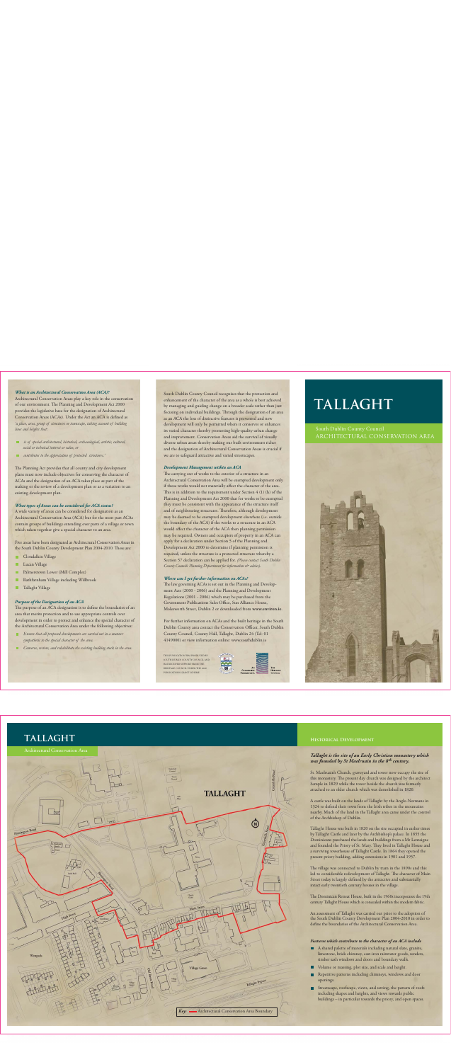# *What is an Architectural Conservation Area (ACA)?*

Architectural Conservation Areas play a key role in the conservation of our environment. The Planning and Development Act 2000 provides the legislative base for the designation of Architectural Conservation Areas (ACAs). Under the Act an ACA is defined as *'a place, area, group of structures or townscape, taking account of building lines and heights that:*

- *is of special architectural, historical, archaeological, artistic, cultural, social or technical interest or value, or*
- *contributes to the appreciation of protected structures.'*

The Planning Act provides that all county and city development plans must now include objectives for conserving the character of ACAs and the designation of an ACA takes place as part of the making or the review of a development plan or as a variation to an existing development plan.

# *What types of Areas can be considered for ACA status?*

A wide variety of areas can be considered for designation as an Architectural Conservation Area (ACA) but for the most part ACAs contain groups of buildings extending over parts of a village or town which taken together give a special character to an area.

Five areas have been designated as Architectural Conservation Areas in the South Dublin County Development Plan 2004-2010. These are:

- **Clondalkin Village**
- **Lucan Village**
- **Palmerstown Lower (Mill Complex)**
- Rathfarnham Village including Willbrook
- **Tallaght Village**

# *Purpose of the Designation of an ACA*

The purpose of an ACA designation is to define the boundaries of an area that merits protection and to use appropriate controls over development in order to protect and enhance the special character of the Architectural Conservation Area under the following objectives:

- **Ensure that all proposed developments are carried out in a manner** *sympathetic to the special character of the area.*
- *Conserve, restore, and rehabilitate the existing building stock in the area.*

South Dublin County Council recognises that the protection and enhancement of the character of the area as a whole is best achieved by managing and guiding change on a broader scale rather than just focusing on individual buildings. Through the designation of an area as an ACA the loss of distinctive features is prevented and new development will only be permitted where it conserves or enhances its varied character thereby promoting high-quality urban change and improvement. Conservation Areas aid the survival of visually diverse urban areas thereby making our built environment richer and the designation of Architectural Conservation Areas is crucial if we are to safeguard attractive and varied streetscapes.

## *Development Management within an ACA*

The carrying out of works to the exterior of a structure in an Architectural Conservation Area will be exempted development only if those works would not materially affect the character of the area. This is in addition to the requirement under Section 4 (1) (h) of the Planning and Development Act 2000 that for works to be exempted they must be consistent with the appearance of the structure itself and of neighbouring structures. Therefore, although development may be deemed to be exempted development elsewhere (i.e. outside the boundary of the ACA) if the works to a structure in an ACA would affect the character of the ACA then planning permission may be required. Owners and occupiers of property in an ACA can apply for a declaration under Section 5 of the Planning and Development Act 2000 to determine if planning permission is required, unless the structure is a protected structure whereby a Section 57 declaration can be applied for. *(Please contact South Dublin County Councils Planning Department for information & advice).*

### *Where can I get further information on ACAs?*

The law governing ACAs is set out in the Planning and Development Acts (2000 - 2006) and the Planning and Development Regulations (2001 - 2006) which may be purchased from the Government Publications Sales Office, Sun Alliance House, Molesworth Street, Dublin 2 or downloaded from **www.environ.ie**.

For further information on ACAs and the built heritage in the South Dublin County area contact the Conservation Officer, South Dublin County Council, County Hall, Tallaght, Dublin 24 (Tel: 01 4149000) or view information online: www.southdublin.ie

THIS PUBLICATION WAS PRODUCED BY SOUTH DUBLIN COUNTY COUNCIL AND HAS RECEIVED SUPPORT FROM THE HERITAGE COUNCIL UNDER THE 2006 PUBLICATIONS GRANT SCHEME.



# **TALLAGHT**

# South Dublin County Council ARCHITECTURAL CONSERVATION AREA